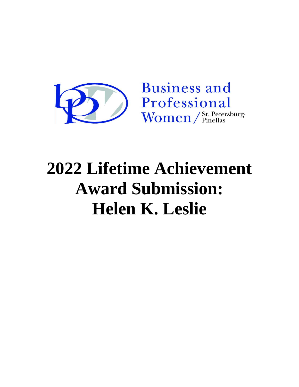

## **2022 Lifetime Achievement Award Submission: Helen K. Leslie**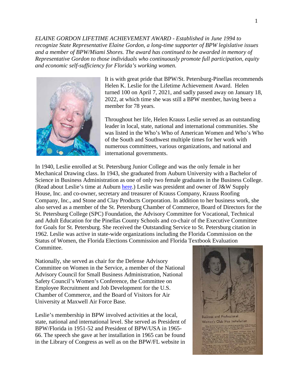*ELAINE GORDON LIFETIME ACHIEVEMENT AWARD - Established in June 1994 to recognize State Representative Elaine Gordon, a long-time supporter of BPW legislative issues and a member of BPW/Miami Shores. The award has continued to be awarded in memory of Representative Gordon to those individuals who continuously promote full participation, equity and economic self-sufficiency for Florida's working women.*



It is with great pride that BPW/St. Petersburg-Pinellas recommends Helen K. Leslie for the Lifetime Achievement Award. Helen turned 100 on April 7, 2021, and sadly passed away on January 18, 2022, at which time she was still a BPW member, having been a member for 78 years.

Throughout her life, Helen Krauss Leslie served as an outstanding leader in local, state, national and international communities. She was listed in the Who's Who of American Women and Who's Who of the South and Southwest multiple times for her work with numerous committees, various organizations, and national and international governments.

In 1940, Leslie enrolled at St. Petersburg Junior College and was the only female in her Mechanical Drawing class. In 1943, she graduated from Auburn University with a Bachelor of Science in Business Administration as one of only two female graduates in the Business College. (Read about Leslie's time at Auburn [here.](https://www.alumni.auburn.edu/helen-krauss-leslie-43/)) Leslie was president and owner of J&W Supply House, Inc. and co-owner, secretary and treasurer of Krauss Company, Krauss Roofing Company, Inc., and Stone and Clay Products Corporation. In addition to her business work, she also served as a member of the St. Petersburg Chamber of Commerce, Board of Directors for the St. Petersburg College (SPC) Foundation, the Advisory Committee for Vocational, Technical and Adult Education for the Pinellas County Schools and co-chair of the Executive Committee for Goals for St. Petersburg. She received the Outstanding Service to St. Petersburg citation in 1962. Leslie was active in state-wide organizations including the Florida Commission on the Status of Women, the Florida Elections Commission and Florida Textbook Evaluation Committee.

Nationally, she served as chair for the Defense Advisory Committee on Women in the Service, a member of the National Advisory Council for Small Business Administration, National Safety Council's Women's Conference, the Committee on Employee Recruitment and Job Development for the U.S. Chamber of Commerce, and the Board of Visitors for Air University at Maxwell Air Force Base.

Leslie's membership in BPW involved activities at the local, state, national and international level. She served as President of BPW/Florida in 1951-52 and President of BPW/USA in 1965- 66. The speech she gave at her installation in 1965 can be found in the Library of Congress as well as on the BPW/FL website in

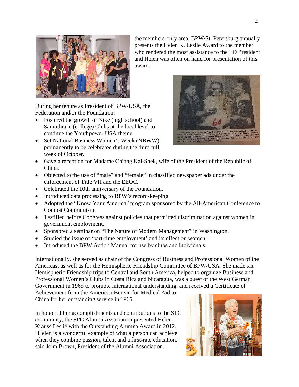

During her tenure as President of BPW/USA, the Federation and/or the Foundation:

- Fostered the growth of Nike (high school) and Samothrace (college) Clubs at the local level to continue the Youthpower USA theme.
- Set National Business Women's Week (NBWW) permanently to be celebrated during the third full week of October.
- Gave a reception for Madame Chiang Kai-Shek, wife of the President of the Republic of China.

award.

- Objected to the use of "male" and "female" in classified newspaper ads under the enforcement of Title VII and the EEOC.
- Celebrated the 10th anniversary of the Foundation.
- Introduced data processing to BPW's record-keeping.
- Adopted the "Know Your America" program sponsored by the All-American Conference to Combat Communism.
- Testified before Congress against policies that permitted discrimination against women in government employment.
- Sponsored a seminar on "The Nature of Modern Management" in Washington.
- Studied the issue of 'part-time employment' and its effect on women.
- Introduced the BPW Action Manual for use by clubs and individuals.

Internationally, she served as chair of the Congress of Business and Professional Women of the Americas, as well as for the Hemispheric Friendship Committee of BPW/USA. She made six Hemispheric Friendship trips to Central and South America, helped to organize Business and Professional Women's Clubs in Costa Rica and Nicaragua, was a guest of the West German Government in 1965 to promote international understanding, and received a Certificate of

Achievement from the American Bureau for Medical Aid to China for her outstanding service in 1965.

In honor of her accomplishments and contributions to the SPC community, the SPC Alumni Association presented Helen Krauss Leslie with the Outstanding Alumna Award in 2012. "Helen is a wonderful example of what a person can achieve when they combine passion, talent and a first-rate education," said John Brown, President of the Alumni Association.